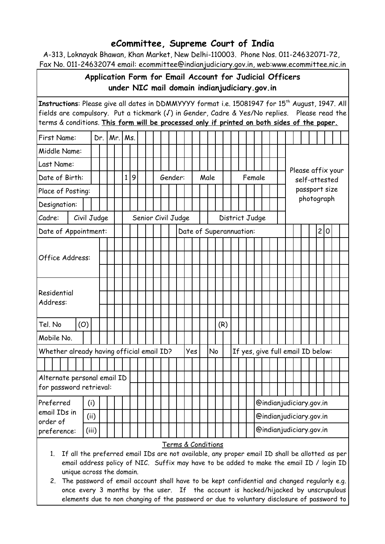## **eCommittee, Supreme Court of India**

A-313, Loknayak Bhawan, Khan Market, New Delhi-110003. Phone Nos. 011-24632071-72, Fax No. 011-24632074 email: ecommittee@indianjudiciary.gov.in, web:www.ecommittee.nic.in

## **Application Form for Email Account for Judicial Officers under NIC mail domain indianjudiciary.gov.in**

| Instructions: Please give all dates in DDMMYYYY format i.e. 15081947 for 15 <sup>th</sup> August, 1947. All<br>fields are compulsory. Put a tickmark (J) in Gender, Cadre & Yes/No replies. Please read the<br>terms & conditions. This form will be processed only if printed on both sides of the paper. |  |             |             |  |  |              |   |  |  |  |  |                    |                         |                 |  |  |     |  |  |                |  |  |                         |  |  |               |                                   |  |  |  |  |  |  |  |
|------------------------------------------------------------------------------------------------------------------------------------------------------------------------------------------------------------------------------------------------------------------------------------------------------------|--|-------------|-------------|--|--|--------------|---|--|--|--|--|--------------------|-------------------------|-----------------|--|--|-----|--|--|----------------|--|--|-------------------------|--|--|---------------|-----------------------------------|--|--|--|--|--|--|--|
| First Name:                                                                                                                                                                                                                                                                                                |  | Dr.         | $Mr.$   Ms. |  |  |              |   |  |  |  |  |                    |                         |                 |  |  |     |  |  |                |  |  |                         |  |  |               |                                   |  |  |  |  |  |  |  |
| Middle Name:                                                                                                                                                                                                                                                                                               |  |             |             |  |  |              |   |  |  |  |  |                    |                         |                 |  |  |     |  |  |                |  |  |                         |  |  |               |                                   |  |  |  |  |  |  |  |
| Last Name:                                                                                                                                                                                                                                                                                                 |  |             |             |  |  |              |   |  |  |  |  |                    |                         |                 |  |  |     |  |  |                |  |  |                         |  |  |               | Please affix your                 |  |  |  |  |  |  |  |
| Date of Birth:                                                                                                                                                                                                                                                                                             |  |             |             |  |  | $\mathbf{1}$ | 9 |  |  |  |  |                    |                         | Gender:<br>Male |  |  |     |  |  | Female         |  |  |                         |  |  | self-attested |                                   |  |  |  |  |  |  |  |
| Place of Posting:                                                                                                                                                                                                                                                                                          |  |             |             |  |  |              |   |  |  |  |  |                    |                         |                 |  |  |     |  |  |                |  |  |                         |  |  | passport size |                                   |  |  |  |  |  |  |  |
| Designation:                                                                                                                                                                                                                                                                                               |  |             |             |  |  |              |   |  |  |  |  |                    |                         |                 |  |  |     |  |  |                |  |  |                         |  |  |               | photograph                        |  |  |  |  |  |  |  |
| Cadre:                                                                                                                                                                                                                                                                                                     |  | Civil Judge |             |  |  |              |   |  |  |  |  | Senior Civil Judge |                         |                 |  |  |     |  |  | District Judge |  |  |                         |  |  |               |                                   |  |  |  |  |  |  |  |
| Date of Appointment:                                                                                                                                                                                                                                                                                       |  |             |             |  |  |              |   |  |  |  |  |                    | Date of Superannuation: |                 |  |  |     |  |  |                |  |  |                         |  |  |               | 2 0                               |  |  |  |  |  |  |  |
| Office Address:                                                                                                                                                                                                                                                                                            |  |             |             |  |  |              |   |  |  |  |  |                    |                         |                 |  |  |     |  |  |                |  |  |                         |  |  |               |                                   |  |  |  |  |  |  |  |
|                                                                                                                                                                                                                                                                                                            |  |             |             |  |  |              |   |  |  |  |  |                    |                         |                 |  |  |     |  |  |                |  |  |                         |  |  |               |                                   |  |  |  |  |  |  |  |
|                                                                                                                                                                                                                                                                                                            |  |             |             |  |  |              |   |  |  |  |  |                    |                         |                 |  |  |     |  |  |                |  |  |                         |  |  |               |                                   |  |  |  |  |  |  |  |
|                                                                                                                                                                                                                                                                                                            |  |             |             |  |  |              |   |  |  |  |  |                    |                         |                 |  |  |     |  |  |                |  |  |                         |  |  |               |                                   |  |  |  |  |  |  |  |
| Residential<br>Address:                                                                                                                                                                                                                                                                                    |  |             |             |  |  |              |   |  |  |  |  |                    |                         |                 |  |  |     |  |  |                |  |  |                         |  |  |               |                                   |  |  |  |  |  |  |  |
|                                                                                                                                                                                                                                                                                                            |  |             |             |  |  |              |   |  |  |  |  |                    |                         |                 |  |  |     |  |  |                |  |  |                         |  |  |               |                                   |  |  |  |  |  |  |  |
| (O)<br>Tel. No                                                                                                                                                                                                                                                                                             |  |             |             |  |  |              |   |  |  |  |  |                    |                         |                 |  |  | (R) |  |  |                |  |  |                         |  |  |               |                                   |  |  |  |  |  |  |  |
| Mobile No.                                                                                                                                                                                                                                                                                                 |  |             |             |  |  |              |   |  |  |  |  |                    |                         |                 |  |  |     |  |  |                |  |  |                         |  |  |               |                                   |  |  |  |  |  |  |  |
| Whether already having official email ID?                                                                                                                                                                                                                                                                  |  |             |             |  |  |              |   |  |  |  |  |                    | Yes                     |                 |  |  | No  |  |  |                |  |  |                         |  |  |               | If yes, give full email ID below: |  |  |  |  |  |  |  |
|                                                                                                                                                                                                                                                                                                            |  |             |             |  |  |              |   |  |  |  |  |                    |                         |                 |  |  |     |  |  |                |  |  |                         |  |  |               |                                   |  |  |  |  |  |  |  |
| Alternate personal email ID                                                                                                                                                                                                                                                                                |  |             |             |  |  |              |   |  |  |  |  |                    |                         |                 |  |  |     |  |  |                |  |  |                         |  |  |               |                                   |  |  |  |  |  |  |  |
| for password retrieval:                                                                                                                                                                                                                                                                                    |  |             |             |  |  |              |   |  |  |  |  |                    |                         |                 |  |  |     |  |  |                |  |  |                         |  |  |               |                                   |  |  |  |  |  |  |  |
| Preferred<br>email IDs in<br>order of                                                                                                                                                                                                                                                                      |  | (i)         |             |  |  |              |   |  |  |  |  |                    |                         |                 |  |  |     |  |  |                |  |  | @indianjudiciary.gov.in |  |  |               |                                   |  |  |  |  |  |  |  |
|                                                                                                                                                                                                                                                                                                            |  | (ii)        |             |  |  |              |   |  |  |  |  |                    |                         |                 |  |  |     |  |  |                |  |  | @indianjudiciary.gov.in |  |  |               |                                   |  |  |  |  |  |  |  |
| @indianjudiciary.gov.in<br>(iii)<br>preference:                                                                                                                                                                                                                                                            |  |             |             |  |  |              |   |  |  |  |  |                    |                         |                 |  |  |     |  |  |                |  |  |                         |  |  |               |                                   |  |  |  |  |  |  |  |
| Terms & Conditions<br>If all the preferred email IDs are not available, any proper email ID shall be allotted as per<br>1 <sub>1</sub><br>email address policy of NIC. Suffix may have to be added to make the email ID / login ID<br>unique across the domain.                                            |  |             |             |  |  |              |   |  |  |  |  |                    |                         |                 |  |  |     |  |  |                |  |  |                         |  |  |               |                                   |  |  |  |  |  |  |  |

2. The password of email account shall have to be kept confidential and changed regularly e.g. once every 3 months by the user. If the account is hacked/hijacked by unscrupulous elements due to non changing of the password or due to voluntary disclosure of password to